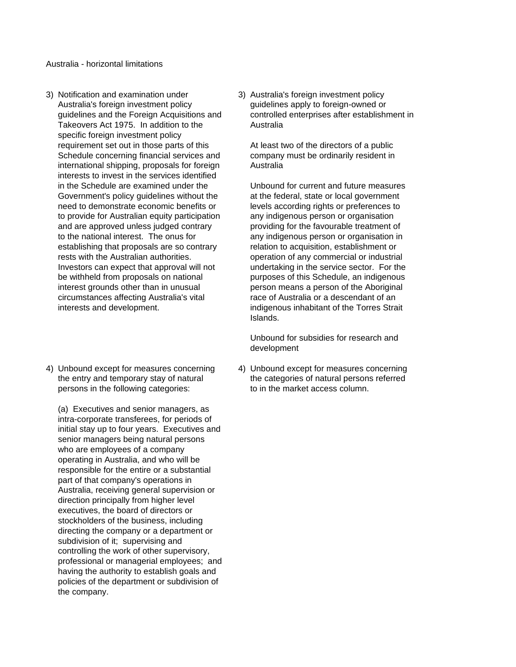Australia - horizontal limitations

- Australia's foreign investment policy entity and guidelines apply to foreign-owned or Takeovers Act 1975. In addition to the **Australia** specific foreign investment policy requirement set out in those parts of this At least two of the directors of a public Schedule concerning financial services and company must be ordinarily resident in international shipping, proposals for foreign Australia interests to invest in the services identified in the Schedule are examined under the Unbound for current and future measures Government's policy quidelines without the at the federal, state or local government need to demonstrate economic benefits or levels according rights or preferences to to provide for Australian equity participation any indigenous person or organisation and are approved unless judged contrary providing for the favourable treatment of to the national interest. The onus for any indigenous person or organisation in establishing that proposals are so contrary relation to acquisition, establishment or rests with the Australian authorities. operation of any commercial or industrial Investors can expect that approval will not undertaking in the service sector. For the be withheld from proposals on national purposes of this Schedule, an indigenous interest grounds other than in unusual person means a person of the Aboriginal circumstances affecting Australia's vital race of Australia or a descendant of an interests and development. **indigenous inhabitant of the Torres Strait**
- 4) Unbound except for measures concerning 4) Unbound except for measures concerning persons in the following categories: to in the market access column.

(a) Executives and senior managers, as intra-corporate transferees, for periods of initial stay up to four years. Executives and senior managers being natural persons who are employees of a company operating in Australia, and who will be responsible for the entire or a substantial part of that company's operations in Australia, receiving general supervision or direction principally from higher level executives, the board of directors or stockholders of the business, including directing the company or a department or subdivision of it; supervising and controlling the work of other supervisory, professional or managerial employees; and having the authority to establish goals and policies of the department or subdivision of the company.

3) Notification and examination under 3) Australia's foreign investment policy guidelines and the Foreign Acquisitions and controlled enterprises after establishment in

Islands.

Unbound for subsidies for research and development

the entry and temporary stay of natural the categories of natural persons referred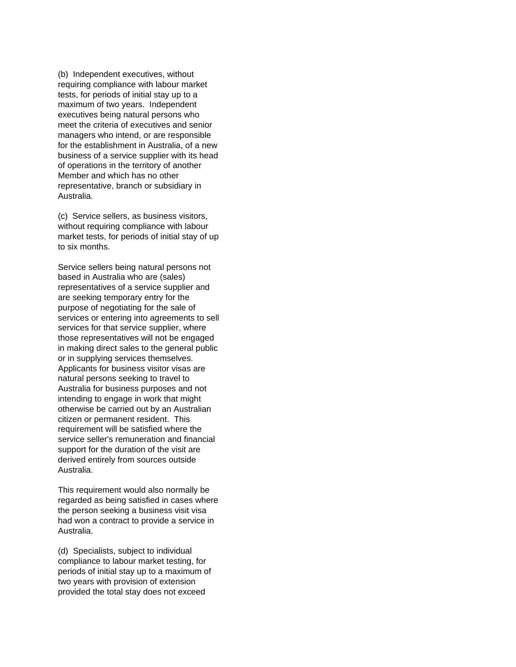(b) Independent executives, without requiring compliance with labour market tests, for periods of initial stay up to a maximum of two years. Independent executives being natural persons who meet the criteria of executives and senior managers who intend, or are responsible for the establishment in Australia, of a new business of a service supplier with its head of operations in the territory of another Member and which has no other representative, branch or subsidiary in Australia.

(c) Service sellers, as business visitors, without requiring compliance with labour market tests, for periods of initial stay of up to six months.

Service sellers being natural persons not based in Australia who are (sales) representatives of a service supplier and are seeking temporary entry for the purpose of negotiating for the sale of services or entering into agreements to sell services for that service supplier, where those representatives will not be engaged in making direct sales to the general public or in supplying services themselves. Applicants for business visitor visas are natural persons seeking to travel to Australia for business purposes and not intending to engage in work that might otherwise be carried out by an Australian citizen or permanent resident. This requirement will be satisfied where the service seller's remuneration and financial support for the duration of the visit are derived entirely from sources outside Australia.

This requirement would also normally be regarded as being satisfied in cases where the person seeking a business visit visa had won a contract to provide a service in Australia.

(d) Specialists, subject to individual compliance to labour market testing, for periods of initial stay up to a maximum of two years with provision of extension provided the total stay does not exceed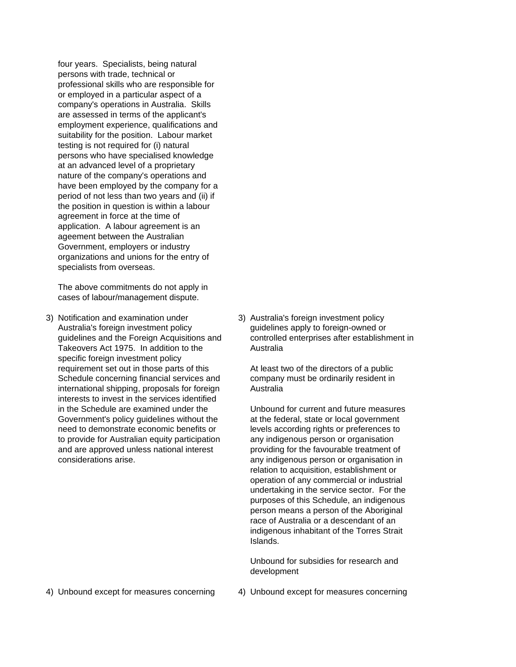four years. Specialists, being natural persons with trade, technical or professional skills who are responsible for or employed in a particular aspect of a company's operations in Australia. Skills are assessed in terms of the applicant's employment experience, qualifications and suitability for the position. Labour market testing is not required for (i) natural persons who have specialised knowledge at an advanced level of a proprietary nature of the company's operations and have been employed by the company for a period of not less than two years and (ii) if the position in question is within a labour agreement in force at the time of application. A labour agreement is an ageement between the Australian Government, employers or industry organizations and unions for the entry of specialists from overseas.

The above commitments do not apply in cases of labour/management dispute.

- 3) Notification and examination under 3) Australia's foreign investment policy Australia's foreign investment policy guidelines apply to foreign-owned or Takeovers Act 1975. In addition to the **Australia** specific foreign investment policy requirement set out in those parts of this At least two of the directors of a public Schedule concerning financial services and company must be ordinarily resident in international shipping, proposals for foreign Australia interests to invest in the services identified in the Schedule are examined under the Unbound for current and future measures Government's policy quidelines without the at the federal, state or local government need to demonstrate economic benefits or levels according rights or preferences to to provide for Australian equity participation any indigenous person or organisation and are approved unless national interest providing for the favourable treatment of considerations arise. any indigenous person or organisation in
	- guidelines and the Foreign Acquisitions and controlled enterprises after establishment in

relation to acquisition, establishment or operation of any commercial or industrial undertaking in the service sector. For the purposes of this Schedule, an indigenous person means a person of the Aboriginal race of Australia or a descendant of an indigenous inhabitant of the Torres Strait Islands.

Unbound for subsidies for research and development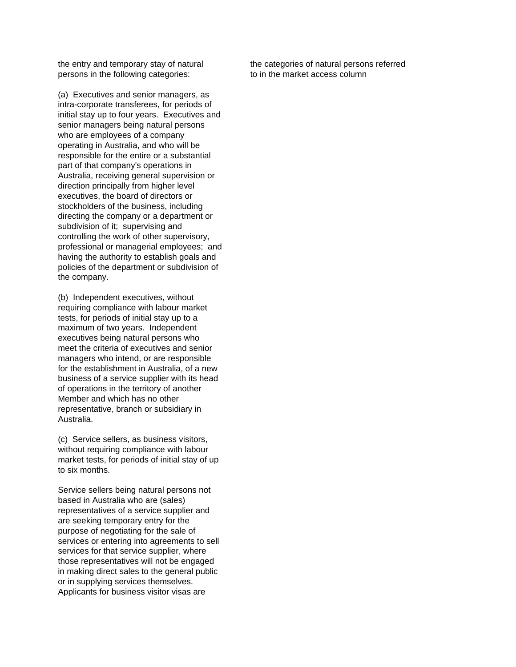persons in the following categories: to in the market access column

(a) Executives and senior managers, as intra-corporate transferees, for periods of initial stay up to four years. Executives and senior managers being natural persons who are employees of a company operating in Australia, and who will be responsible for the entire or a substantial part of that company's operations in Australia, receiving general supervision or direction principally from higher level executives, the board of directors or stockholders of the business, including directing the company or a department or subdivision of it; supervising and controlling the work of other supervisory, professional or managerial employees; and having the authority to establish goals and policies of the department or subdivision of the company.

(b) Independent executives, without requiring compliance with labour market tests, for periods of initial stay up to a maximum of two years. Independent executives being natural persons who meet the criteria of executives and senior managers who intend, or are responsible for the establishment in Australia, of a new business of a service supplier with its head of operations in the territory of another Member and which has no other representative, branch or subsidiary in Australia.

(c) Service sellers, as business visitors, without requiring compliance with labour market tests, for periods of initial stay of up to six months.

Service sellers being natural persons not based in Australia who are (sales) representatives of a service supplier and are seeking temporary entry for the purpose of negotiating for the sale of services or entering into agreements to sell services for that service supplier, where those representatives will not be engaged in making direct sales to the general public or in supplying services themselves. Applicants for business visitor visas are

the entry and temporary stay of natural the categories of natural persons referred